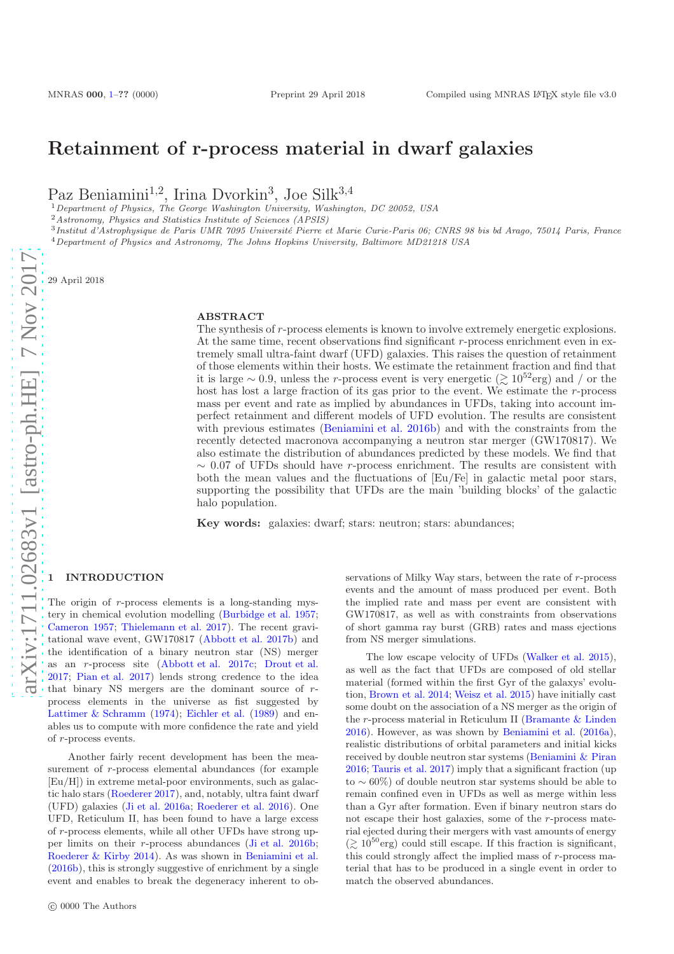# Retainment of r-process material in dwarf galaxies

Paz Beniamini<sup>1,2</sup>, Irina Dvorkin<sup>3</sup>, Joe Silk<sup>3,4</sup>

<sup>1</sup>Department of Physics, The George Washington University, Washington, DC 20052, USA

<sup>2</sup>Astronomy, Physics and Statistics Institute of Sciences (APSIS)

<sup>3</sup> Institut d'Astrophysique de Paris UMR 7095 Université Pierre et Marie Curie-Paris 06; CNRS 98 bis bd Arago, 75014 Paris, France <sup>4</sup>Department of Physics and Astronomy, The Johns Hopkins University, Baltimore MD21218 USA

29 April 2018

## ABSTRACT

The synthesis of r-process elements is known to involve extremely energetic explosions. At the same time, recent observations find significant r-process enrichment even in extremely small ultra-faint dwarf (UFD) galaxies. This raises the question of retainment of those elements within their hosts. We estimate the retainment fraction and find that it is large ∼ 0.9, unless the r-process event is very energetic ( $\gtrsim 10^{52}$ erg) and / or the host has lost a large fraction of its gas prior to the event. We estimate the r-process mass per event and rate as implied by abundances in UFDs, taking into account imperfect retainment and different models of UFD evolution. The results are consistent with previous estimates [\(Beniamini et al. 2016b](#page-9-0)) and with the constraints from the recently detected macronova accompanying a neutron star merger (GW170817). We also estimate the distribution of abundances predicted by these models. We find that  $\sim$  0.07 of UFDs should have r-process enrichment. The results are consistent with both the mean values and the fluctuations of [Eu/Fe] in galactic metal poor stars, supporting the possibility that UFDs are the main 'building blocks' of the galactic halo population.

Key words: galaxies: dwarf; stars: neutron; stars: abundances;

# <span id="page-0-0"></span>**INTRODUCTION**

The origin of r-process elements is a long-standing mystery in chemical evolution modelling [\(Burbidge et al. 1957;](#page-9-1) [Cameron 1957;](#page-9-2) [Thielemann et al. 2017](#page-10-0)). The recent gravitational wave event, GW170817 [\(Abbott et al. 2017b](#page-9-3)) and the identification of a binary neutron star (NS) merger as an r-process site [\(Abbott et al. 2017c](#page-9-4); [Drout et al.](#page-9-5) [2017](#page-9-5); [Pian et al. 2017\)](#page-10-1) lends strong credence to the idea that binary NS mergers are the dominant source of rprocess elements in the universe as fist suggested by [Lattimer & Schramm](#page-9-6) [\(1974](#page-9-6)); [Eichler et al.](#page-9-7) [\(1989](#page-9-7)) and enables us to compute with more confidence the rate and yield of r-process events.

Another fairly recent development has been the measurement of r-process elemental abundances (for example [Eu/H]) in extreme metal-poor environments, such as galactic halo stars [\(Roederer 2017\)](#page-10-2), and, notably, ultra faint dwarf (UFD) galaxies [\(Ji et al. 2016a](#page-9-8); [Roederer et al. 2016](#page-10-3)). One UFD, Reticulum II, has been found to have a large excess of r-process elements, while all other UFDs have strong upper limits on their r-process abundances [\(Ji et al. 2016b;](#page-9-9) [Roederer & Kirby 2014](#page-10-4)). As was shown in [Beniamini et al.](#page-9-0) [\(2016b](#page-9-0)), this is strongly suggestive of enrichment by a single event and enables to break the degeneracy inherent to observations of Milky Way stars, between the rate of r-process events and the amount of mass produced per event. Both the implied rate and mass per event are consistent with GW170817, as well as with constraints from observations of short gamma ray burst (GRB) rates and mass ejections from NS merger simulations.

The low escape velocity of UFDs [\(Walker et al. 2015](#page-10-5)), as well as the fact that UFDs are composed of old stellar material (formed within the first Gyr of the galaxys' evolution, [Brown et al. 2014](#page-9-10); [Weisz et al. 2015](#page-10-6)) have initially cast some doubt on the association of a NS merger as the origin of the r-process material in Reticulum II [\(Bramante & Linden](#page-9-11) [2016](#page-9-11)). However, as was shown by [Beniamini et al.](#page-9-12) [\(2016a](#page-9-12)), realistic distributions of orbital parameters and initial kicks received by double neutron star systems [\(Beniamini & Piran](#page-9-13) [2016](#page-9-13); [Tauris et al. 2017\)](#page-10-7) imply that a significant fraction (up to ∼ 60%) of double neutron star systems should be able to remain confined even in UFDs as well as merge within less than a Gyr after formation. Even if binary neutron stars do not escape their host galaxies, some of the r-process material ejected during their mergers with vast amounts of energy  $($   $\gtrsim 10^{50}$  erg) could still escape. If this fraction is significant, this could strongly affect the implied mass of r-process material that has to be produced in a single event in order to match the observed abundances.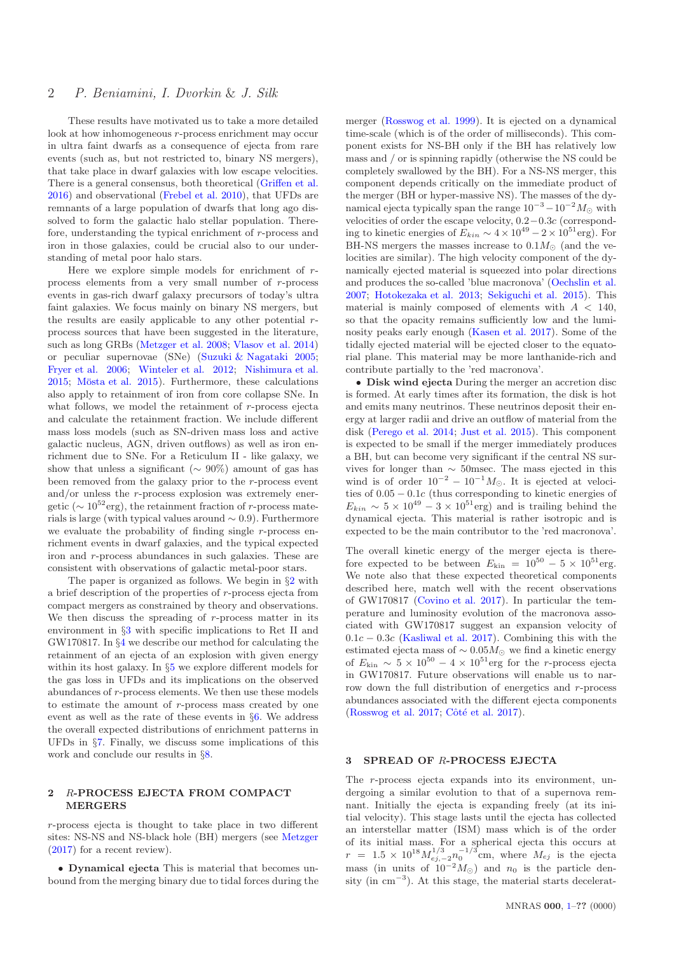These results have motivated us to take a more detailed look at how inhomogeneous r-process enrichment may occur in ultra faint dwarfs as a consequence of ejecta from rare events (such as, but not restricted to, binary NS mergers), that take place in dwarf galaxies with low escape velocities. There is a general consensus, both theoretical [\(Griffen et al.](#page-9-14) [2016](#page-9-14)) and observational [\(Frebel et al. 2010\)](#page-9-15), that UFDs are remnants of a large population of dwarfs that long ago dissolved to form the galactic halo stellar population. Therefore, understanding the typical enrichment of r-process and iron in those galaxies, could be crucial also to our understanding of metal poor halo stars.

Here we explore simple models for enrichment of rprocess elements from a very small number of r-process events in gas-rich dwarf galaxy precursors of today's ultra faint galaxies. We focus mainly on binary NS mergers, but the results are easily applicable to any other potential rprocess sources that have been suggested in the literature, such as long GRBs [\(Metzger et al. 2008;](#page-10-8) [Vlasov et al. 2014](#page-10-9)) or peculiar supernovae (SNe) [\(Suzuki & Nagataki 2005;](#page-10-10) [Fryer et al. 2006](#page-9-16); [Winteler et al. 2012](#page-10-11); [Nishimura et al.](#page-10-12)  $2015$ : Mösta et al.  $2015$ ). Furthermore, these calculations also apply to retainment of iron from core collapse SNe. In what follows, we model the retainment of  $r$ -process ejecta and calculate the retainment fraction. We include different mass loss models (such as SN-driven mass loss and active galactic nucleus, AGN, driven outflows) as well as iron enrichment due to SNe. For a Reticulum II - like galaxy, we show that unless a significant ( $\sim 90\%$ ) amount of gas has been removed from the galaxy prior to the r-process event and/or unless the r-process explosion was extremely energetic ( $\sim 10^{52}$ erg), the retainment fraction of r-process materials is large (with typical values around  $\sim$  0.9). Furthermore we evaluate the probability of finding single r-process enrichment events in dwarf galaxies, and the typical expected iron and r-process abundances in such galaxies. These are consistent with observations of galactic metal-poor stars.

The paper is organized as follows. We begin in §[2](#page-1-0) with a brief description of the properties of r-process ejecta from compact mergers as constrained by theory and observations. We then discuss the spreading of r-process matter in its environment in §[3](#page-1-1) with specific implications to Ret II and GW170817. In §[4](#page-2-0) we describe our method for calculating the retainment of an ejecta of an explosion with given energy within its host galaxy. In  $\S5$  $\S5$  we explore different models for the gas loss in UFDs and its implications on the observed abundances of r-process elements. We then use these models to estimate the amount of r-process mass created by one event as well as the rate of these events in §[6.](#page-6-0) We address the overall expected distributions of enrichment patterns in UFDs in §[7.](#page-7-0) Finally, we discuss some implications of this work and conclude our results in §[8.](#page-7-1)

# <span id="page-1-0"></span>2 R-PROCESS EJECTA FROM COMPACT **MERGERS**

r-process ejecta is thought to take place in two different sites: NS-NS and NS-black hole (BH) mergers (see [Metzger](#page-10-14) [\(2017](#page-10-14)) for a recent review).

• Dynamical ejecta This is material that becomes unbound from the merging binary due to tidal forces during the merger [\(Rosswog et al. 1999\)](#page-10-15). It is ejected on a dynamical time-scale (which is of the order of milliseconds). This component exists for NS-BH only if the BH has relatively low mass and / or is spinning rapidly (otherwise the NS could be completely swallowed by the BH). For a NS-NS merger, this component depends critically on the immediate product of the merger (BH or hyper-massive NS). The masses of the dynamical ejecta typically span the range  $10^{-3} - 10^{-2} M_{\odot}$  with velocities of order the escape velocity, 0.2−0.3c (corresponding to kinetic energies of  $E_{kin} \sim 4 \times 10^{49} - 2 \times 10^{51}$ erg). For BH-NS mergers the masses increase to  $0.1M_{\odot}$  (and the velocities are similar). The high velocity component of the dynamically ejected material is squeezed into polar directions and produces the so-called 'blue macronova' [\(Oechslin et al.](#page-10-16) [2007](#page-10-16); [Hotokezaka et al. 2013](#page-9-17); [Sekiguchi et al. 2015](#page-10-17)). This material is mainly composed of elements with  $A < 140$ , so that the opacity remains sufficiently low and the luminosity peaks early enough [\(Kasen et al. 2017](#page-9-18)). Some of the tidally ejected material will be ejected closer to the equatorial plane. This material may be more lanthanide-rich and contribute partially to the 'red macronova'.

• Disk wind ejecta During the merger an accretion disc is formed. At early times after its formation, the disk is hot and emits many neutrinos. These neutrinos deposit their energy at larger radii and drive an outflow of material from the disk [\(Perego et al. 2014;](#page-10-18) [Just et al. 2015](#page-9-19)). This component is expected to be small if the merger immediately produces a BH, but can become very significant if the central NS survives for longer than ∼ 50msec. The mass ejected in this wind is of order  $10^{-2} - 10^{-1} M_{\odot}$ . It is ejected at velocities of 0.05 − 0.1c (thus corresponding to kinetic energies of  $E_{kin} \sim 5 \times 10^{49} - 3 \times 10^{51}$  erg) and is trailing behind the dynamical ejecta. This material is rather isotropic and is expected to be the main contributor to the 'red macronova'.

The overall kinetic energy of the merger ejecta is therefore expected to be between  $E_{\text{kin}} = 10^{50} - 5 \times 10^{51} \text{erg.}$ We note also that these expected theoretical components described here, match well with the recent observations of GW170817 [\(Covino et al. 2017\)](#page-9-20). In particular the temperature and luminosity evolution of the macronova associated with GW170817 suggest an expansion velocity of  $0.1c - 0.3c$  [\(Kasliwal et al. 2017](#page-9-21)). Combining this with the estimated ejecta mass of  $\sim 0.05 M_\odot$  we find a kinetic energy of  $E_{\text{kin}} \sim 5 \times 10^{50} - 4 \times 10^{51} \text{erg}$  for the *r*-process ejecta in GW170817. Future observations will enable us to narrow down the full distribution of energetics and  $r$ -process abundances associated with the different ejecta components [\(Rosswog et al. 2017;](#page-10-19) Côté et al. 2017).

# <span id="page-1-1"></span>3 SPREAD OF R-PROCESS EJECTA

The r-process ejecta expands into its environment, undergoing a similar evolution to that of a supernova remnant. Initially the ejecta is expanding freely (at its initial velocity). This stage lasts until the ejecta has collected an interstellar matter (ISM) mass which is of the order of its initial mass. For a spherical ejecta this occurs at  $r = 1.5 \times 10^{18} M_{ej,-2}^{1/3} n_0^{-1/3}$ cm, where  $M_{ej}$  is the ejecta mass (in units of  $10^{-2}M_{\odot}$ ) and  $n_0$  is the particle density (in cm<sup>−</sup><sup>3</sup> ). At this stage, the material starts decelerat-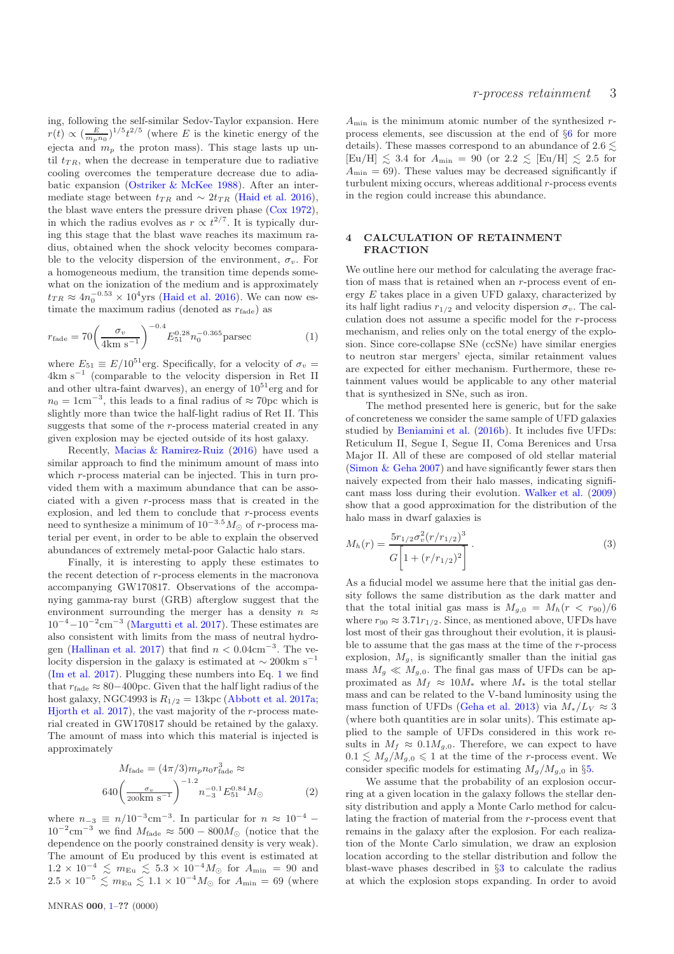ing, following the self-similar Sedov-Taylor expansion. Here  $r(t) \propto \left(\frac{E}{m_p n_0}\right)^{1/5} t^{2/5}$  (where E is the kinetic energy of the ejecta and  $m_p$  the proton mass). This stage lasts up until  $t_{TR}$ , when the decrease in temperature due to radiative cooling overcomes the temperature decrease due to adiabatic expansion [\(Ostriker & McKee 1988](#page-10-20)). After an intermediate stage between  $t_{TR}$  and  $\sim 2t_{TR}$  [\(Haid et al. 2016](#page-9-23)), the blast wave enters the pressure driven phase [\(Cox 1972](#page-9-24)), in which the radius evolves as  $r \propto t^{2/7}$ . It is typically during this stage that the blast wave reaches its maximum radius, obtained when the shock velocity becomes comparable to the velocity dispersion of the environment,  $\sigma_v$ . For a homogeneous medium, the transition time depends somewhat on the ionization of the medium and is approximately  $t_{TR} \approx 4n_0^{-0.53} \times 10^4$ yrs [\(Haid et al. 2016](#page-9-23)). We can now estimate the maximum radius (denoted as  $r_{\text{fade}}$ ) as

$$
r_{\text{fade}} = 70 \left(\frac{\sigma_v}{4 \text{km s}^{-1}}\right)^{-0.4} E_{51}^{0.28} n_0^{-0.365} \text{parsec}
$$
 (1)

where  $E_{51} \equiv E/10^{51}$ erg. Specifically, for a velocity of  $\sigma_v$  = 4km s<sup>−</sup><sup>1</sup> (comparable to the velocity dispersion in Ret II and other ultra-faint dwarves), an energy of  $10^{51}$ erg and for  $n_0 = 1 \text{cm}^{-3}$ , this leads to a final radius of  $\approx 70 \text{pc}$  which is slightly more than twice the half-light radius of Ret II. This suggests that some of the r-process material created in any given explosion may be ejected outside of its host galaxy.

Recently, [Macias & Ramirez-Ruiz](#page-10-21) [\(2016\)](#page-10-21) have used a similar approach to find the minimum amount of mass into which *r*-process material can be injected. This in turn provided them with a maximum abundance that can be associated with a given r-process mass that is created in the explosion, and led them to conclude that r-process events need to synthesize a minimum of  $10^{-3.5} M_{\odot}$  of r-process material per event, in order to be able to explain the observed abundances of extremely metal-poor Galactic halo stars.

Finally, it is interesting to apply these estimates to the recent detection of r-process elements in the macronova accompanying GW170817. Observations of the accompanying gamma-ray burst (GRB) afterglow suggest that the environment surrounding the merger has a density  $n \approx$  $10^{-4}-10^{-2}$  cm<sup>-3</sup> [\(Margutti et al. 2017](#page-10-22)). These estimates are also consistent with limits from the mass of neutral hydro-gen [\(Hallinan et al. 2017\)](#page-9-25) that find  $n < 0.04 \text{cm}^{-3}$ . The velocity dispersion in the galaxy is estimated at  $\sim 200 \text{km s}^{-1}$ [\(Im et al. 2017](#page-9-26)). Plugging these numbers into Eq. [1](#page-2-1) we find that  $r_{\text{fade}} \approx 80-400$  pc. Given that the half light radius of the host galaxy, NGC4993 is  $R_{1/2} = 13$ kpc [\(Abbott et al. 2017a;](#page-9-27) [Hjorth et al. 2017](#page-9-28)), the vast majority of the r-process material created in GW170817 should be retained by the galaxy. The amount of mass into which this material is injected is approximately

$$
M_{\text{fade}} = (4\pi/3)m_p n_0 r_{\text{fade}}^3 \approx
$$
  
640  $\left(\frac{\sigma_v}{200 \text{km s}^{-1}}\right)^{-1.2} n_{-3}^{-0.1} E_{51}^{0.84} M_{\odot}$  (2)

where  $n_{-3} \equiv n/10^{-3}$ cm<sup>-3</sup>. In particular for  $n \approx 10^{-4}$  –  $10^{-2}$  cm<sup>-3</sup> we find  $M_{\text{fade}} \approx 500 - 800 M_{\odot}$  (notice that the dependence on the poorly constrained density is very weak). The amount of Eu produced by this event is estimated at  $1.2 \times 10^{-4} \leq m_{Eu} \leq 5.3 \times 10^{-4} M_{\odot}$  for  $A_{min} = 90$  and  $2.5 \times 10^{-5} \lesssim m_{\text{Eu}} \lesssim 1.1 \times 10^{-4} M_{\odot}$  for  $A_{\text{min}} = 69$  (where  $A_{\text{min}}$  is the minimum atomic number of the synthesized rprocess elements, see discussion at the end of §[6](#page-6-0) for more details). These masses correspond to an abundance of  $2.6 \leq$  $\mathrm{[Eu/H]} \lesssim 3.4$  for  $A_{\mathrm{min}} = 90$  (or  $2.2 \lesssim \mathrm{[Eu/H]} \lesssim 2.5$  for  $A_{\text{min}} = 69$ . These values may be decreased significantly if turbulent mixing occurs, whereas additional  $r$ -process events in the region could increase this abundance.

## <span id="page-2-0"></span>4 CALCULATION OF RETAINMENT FRACTION

<span id="page-2-1"></span>We outline here our method for calculating the average fraction of mass that is retained when an r-process event of energy E takes place in a given UFD galaxy, characterized by its half light radius  $r_{1/2}$  and velocity dispersion  $\sigma_v$ . The calculation does not assume a specific model for the r-process mechanism, and relies only on the total energy of the explosion. Since core-collapse SNe (ccSNe) have similar energies to neutron star mergers' ejecta, similar retainment values are expected for either mechanism. Furthermore, these retainment values would be applicable to any other material that is synthesized in SNe, such as iron.

The method presented here is generic, but for the sake of concreteness we consider the same sample of UFD galaxies studied by [Beniamini et al.](#page-9-0) [\(2016b](#page-9-0)). It includes five UFDs: Reticulum II, Segue I, Segue II, Coma Berenices and Ursa Major II. All of these are composed of old stellar material [\(Simon & Geha 2007](#page-10-23)) and have significantly fewer stars then naively expected from their halo masses, indicating significant mass loss during their evolution. [Walker et al.](#page-10-24) [\(2009](#page-10-24)) show that a good approximation for the distribution of the halo mass in dwarf galaxies is

$$
M_h(r) = \frac{5r_{1/2}\sigma_v^2(r/r_{1/2})^3}{G\left[1 + (r/r_{1/2})^2\right]} \,. \tag{3}
$$

As a fiducial model we assume here that the initial gas density follows the same distribution as the dark matter and that the total initial gas mass is  $M_{g,0} = M_h(r \, \langle \, r_{90} \rangle / 6$ where  $r_{90} \approx 3.71r_{1/2}$ . Since, as mentioned above, UFDs have lost most of their gas throughout their evolution, it is plausible to assume that the gas mass at the time of the r-process explosion,  $M<sub>g</sub>$ , is significantly smaller than the initial gas mass  $M_g \ll M_{g,0}$ . The final gas mass of UFDs can be approximated as  $M_f \approx 10M_*$  where  $M_*$  is the total stellar mass and can be related to the V-band luminosity using the mass function of UFDs [\(Geha et al. 2013\)](#page-9-29) via  $M_*/L_V \approx 3$ (where both quantities are in solar units). This estimate applied to the sample of UFDs considered in this work results in  $M_f \approx 0.1 M_{g,0}$ . Therefore, we can expect to have  $0.1 \lesssim M_g/M_{g,0} \leq 1$  at the time of the *r*-process event. We consider specific models for estimating  $M_g/M_{g,0}$  in §[5.](#page-3-0)

We assume that the probability of an explosion occurring at a given location in the galaxy follows the stellar density distribution and apply a Monte Carlo method for calculating the fraction of material from the r-process event that remains in the galaxy after the explosion. For each realization of the Monte Carlo simulation, we draw an explosion location according to the stellar distribution and follow the blast-wave phases described in §[3](#page-1-1) to calculate the radius at which the explosion stops expanding. In order to avoid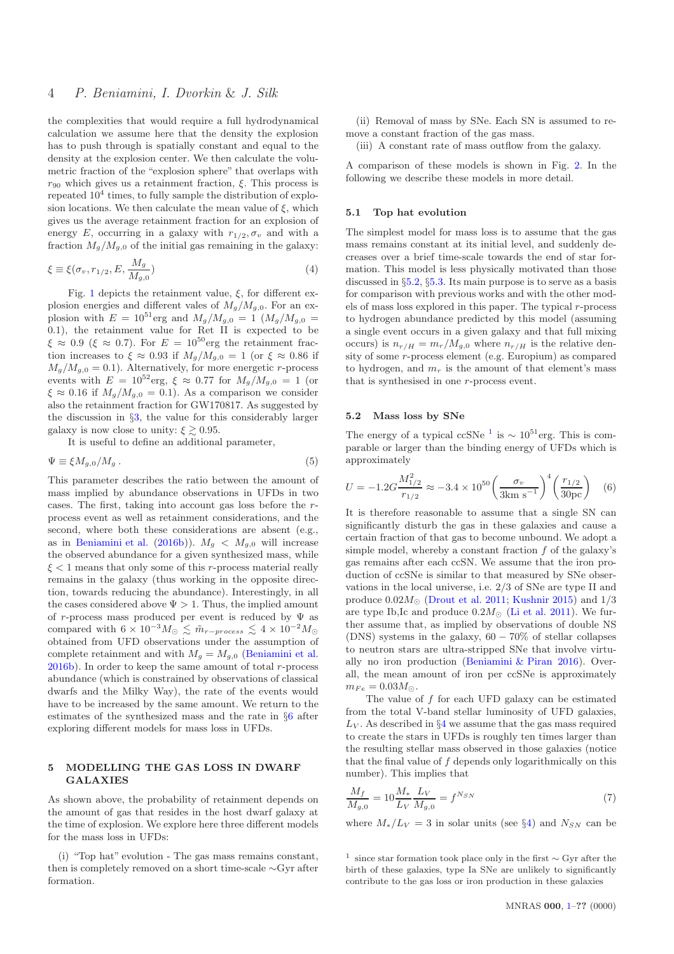the complexities that would require a full hydrodynamical calculation we assume here that the density the explosion has to push through is spatially constant and equal to the density at the explosion center. We then calculate the volumetric fraction of the "explosion sphere" that overlaps with  $r_{90}$  which gives us a retainment fraction,  $\xi$ . This process is repeated  $10^4$  times, to fully sample the distribution of explosion locations. We then calculate the mean value of  $\xi$ , which gives us the average retainment fraction for an explosion of energy E, occurring in a galaxy with  $r_{1/2}, \sigma_v$  and with a fraction  $M_q/M_{q,0}$  of the initial gas remaining in the galaxy:

$$
\xi \equiv \xi(\sigma_v, r_{1/2}, E, \frac{M_g}{M_{g,0}})
$$
\n
$$
\tag{4}
$$

Fig. [1](#page-4-0) depicts the retainment value,  $\xi$ , for different explosion energies and different vales of  $M_g/M_{g,0}$ . For an explosion with  $E = 10^{51}$ erg and  $M_g/M_{g,0} = 1$   $(M_g/M_{g,0} =$ 0.1), the retainment value for Ret II is expected to be  $\xi \approx 0.9$  ( $\xi \approx 0.7$ ). For  $E = 10^{50}$  erg the retainment fraction increases to  $\xi \approx 0.93$  if  $M_g/M_{g,0} = 1$  (or  $\xi \approx 0.86$  if  $M_q/M_{q,0} = 0.1$ . Alternatively, for more energetic *r*-process events with  $E = 10^{52} \text{erg}, \xi \approx 0.77$  for  $M_g/M_{g,0} = 1$  (or  $\xi \approx 0.16$  if  $M_q/M_{q,0} = 0.1$ ). As a comparison we consider also the retainment fraction for GW170817. As suggested by the discussion in §[3,](#page-1-1) the value for this considerably larger galaxy is now close to unity:  $\xi \geq 0.95$ .

It is useful to define an additional parameter,

$$
\Psi \equiv \xi M_{g,0}/M_g \ . \tag{5}
$$

This parameter describes the ratio between the amount of mass implied by abundance observations in UFDs in two cases. The first, taking into account gas loss before the rprocess event as well as retainment considerations, and the second, where both these considerations are absent (e.g., as in [Beniamini et al.](#page-9-0) [\(2016b\)](#page-9-0)).  $M_g < M_{g,0}$  will increase the observed abundance for a given synthesized mass, while  $\xi$  < 1 means that only some of this *r*-process material really remains in the galaxy (thus working in the opposite direction, towards reducing the abundance). Interestingly, in all the cases considered above  $\Psi > 1$ . Thus, the implied amount of r-process mass produced per event is reduced by  $\Psi$  as compared with  $6 \times 10^{-3} M_{\odot} \lesssim \tilde{m}_{r-process} \lesssim 4 \times 10^{-2} M_{\odot}$ obtained from UFD observations under the assumption of complete retainment and with  $M_g = M_{g,0}$  [\(Beniamini et al.](#page-9-0)  $2016b$ ). In order to keep the same amount of total r-process abundance (which is constrained by observations of classical dwarfs and the Milky Way), the rate of the events would have to be increased by the same amount. We return to the estimates of the synthesized mass and the rate in §[6](#page-6-0) after exploring different models for mass loss in UFDs.

# <span id="page-3-0"></span>5 MODELLING THE GAS LOSS IN DWARF **GALAXIES**

As shown above, the probability of retainment depends on the amount of gas that resides in the host dwarf galaxy at the time of explosion. We explore here three different models for the mass loss in UFDs:

(i) "Top hat" evolution - The gas mass remains constant, then is completely removed on a short time-scale ∼Gyr after formation.

(ii) Removal of mass by SNe. Each SN is assumed to remove a constant fraction of the gas mass.

(iii) A constant rate of mass outflow from the galaxy.

A comparison of these models is shown in Fig. [2.](#page-5-0) In the following we describe these models in more detail.

#### 5.1 Top hat evolution

<span id="page-3-4"></span>The simplest model for mass loss is to assume that the gas mass remains constant at its initial level, and suddenly decreases over a brief time-scale towards the end of star formation. This model is less physically motivated than those discussed in §[5.2,](#page-3-1) §[5.3.](#page-6-1) Its main purpose is to serve as a basis for comparison with previous works and with the other models of mass loss explored in this paper. The typical r-process to hydrogen abundance predicted by this model (assuming a single event occurs in a given galaxy and that full mixing occurs) is  $n_{r/H} = m_r/M_{g,0}$  where  $n_{r/H}$  is the relative density of some r-process element (e.g. Europium) as compared to hydrogen, and  $m_r$  is the amount of that element's mass that is synthesised in one r-process event.

## <span id="page-3-1"></span>5.2 Mass loss by SNe

The energy of a typical ccSNe<sup>[1](#page-3-2)</sup> is  $\sim 10^{51}$ erg. This is comparable or larger than the binding energy of UFDs which is approximately

$$
U = -1.2G \frac{M_{1/2}^2}{r_{1/2}} \approx -3.4 \times 10^{50} \left(\frac{\sigma_v}{3 \text{km s}^{-1}}\right)^4 \left(\frac{r_{1/2}}{30 \text{pc}}\right) \tag{6}
$$

It is therefore reasonable to assume that a single SN can significantly disturb the gas in these galaxies and cause a certain fraction of that gas to become unbound. We adopt a simple model, whereby a constant fraction  $f$  of the galaxy's gas remains after each ccSN. We assume that the iron production of ccSNe is similar to that measured by SNe observations in the local universe, i.e. 2/3 of SNe are type II and produce  $0.02M_{\odot}$  [\(Drout et al. 2011](#page-9-30); [Kushnir 2015](#page-9-31)) and  $1/3$ are type Ib,Ic and produce  $0.2M_{\odot}$  [\(Li et al. 2011](#page-9-32)). We further assume that, as implied by observations of double NS (DNS) systems in the galaxy, 60 − 70% of stellar collapses to neutron stars are ultra-stripped SNe that involve virtually no iron production [\(Beniamini & Piran 2016\)](#page-9-13). Overall, the mean amount of iron per ccSNe is approximately  $m_{Fe} = 0.03 M_{\odot}$ .

The value of  $f$  for each UFD galaxy can be estimated from the total V-band stellar luminosity of UFD galaxies,  $L_V$ . As described in §[4](#page-2-0) we assume that the gas mass required to create the stars in UFDs is roughly ten times larger than the resulting stellar mass observed in those galaxies (notice that the final value of  $f$  depends only logarithmically on this number). This implies that

<span id="page-3-3"></span>
$$
\frac{M_f}{M_{g,0}} = 10 \frac{M_*}{L_V} \frac{L_V}{M_{g,0}} = f^{N_{SN}} \tag{7}
$$

where  $M_*/L_V = 3$  in solar units (see §[4\)](#page-2-0) and  $N_{SN}$  can be

<span id="page-3-2"></span>1 since star formation took place only in the first ∼ Gyr after the birth of these galaxies, type Ia SNe are unlikely to significantly contribute to the gas loss or iron production in these galaxies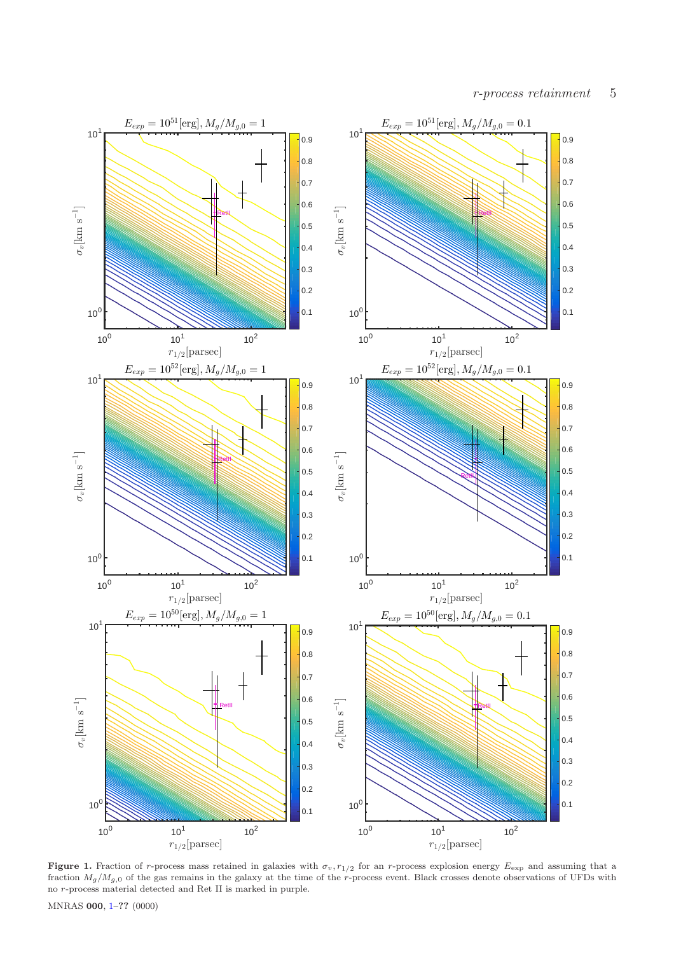

<span id="page-4-0"></span>Figure 1. Fraction of r-process mass retained in galaxies with  $\sigma_v$ ,  $r_{1/2}$  for an r-process explosion energy  $E_{\text{exp}}$  and assuming that a fraction  $M_g/M_{g,0}$  of the gas remains in the galaxy at the time of the r-process event. Black crosses denote observations of UFDs with no r-process material detected and Ret II is marked in purple.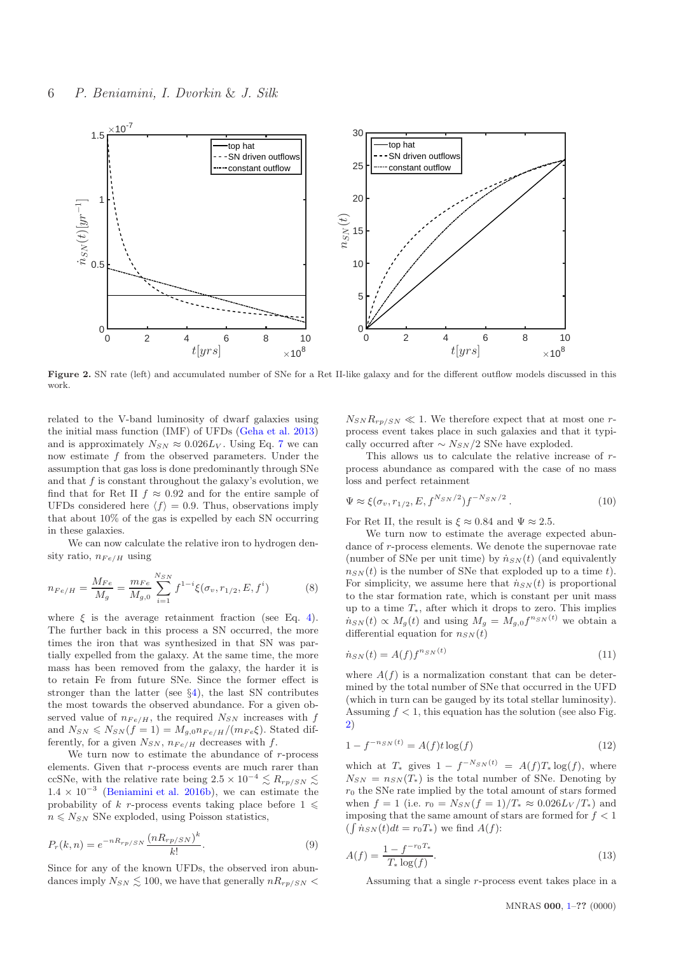

<span id="page-5-0"></span>Figure 2. SN rate (left) and accumulated number of SNe for a Ret II-like galaxy and for the different outflow models discussed in this work.

related to the V-band luminosity of dwarf galaxies using the initial mass function (IMF) of UFDs [\(Geha et al. 2013](#page-9-29)) and is approximately  $N_{SN} \approx 0.026L_V$ . Using Eq. [7](#page-3-3) we can now estimate  $f$  from the observed parameters. Under the assumption that gas loss is done predominantly through SNe and that  $f$  is constant throughout the galaxy's evolution, we find that for Ret II  $f \approx 0.92$  and for the entire sample of UFDs considered here  $\langle f \rangle = 0.9$ . Thus, observations imply that about 10% of the gas is expelled by each SN occurring in these galaxies.

<span id="page-5-1"></span>We can now calculate the relative iron to hydrogen density ratio,  $n_{Fe/H}$  using

$$
n_{Fe/H} = \frac{M_{Fe}}{M_g} = \frac{m_{Fe}}{M_{g,0}} \sum_{i=1}^{N_{SN}} f^{1-i} \xi(\sigma_v, r_{1/2}, E, f^i)
$$
(8)

where  $\xi$  is the average retainment fraction (see Eq. [4\)](#page-3-4). The further back in this process a SN occurred, the more times the iron that was synthesized in that SN was partially expelled from the galaxy. At the same time, the more mass has been removed from the galaxy, the harder it is to retain Fe from future SNe. Since the former effect is stronger than the latter (see §[4\)](#page-2-0), the last SN contributes the most towards the observed abundance. For a given observed value of  $n_{Fe/H}$ , the required  $N_{SN}$  increases with f and  $N_{SN} \leq N_{SN}(f=1) = M_{g,0} n_{Fe/H} / (m_{Fe} \xi)$ . Stated differently, for a given  $N_{SN}$ ,  $n_{Fe/H}$  decreases with f.

We turn now to estimate the abundance of  $r$ -process elements. Given that r-process events are much rarer than ccSNe, with the relative rate being  $2.5 \times 10^{-4} \lesssim R_{rp/SN} \lesssim$  $1.4 \times 10^{-3}$  [\(Beniamini et al. 2016b](#page-9-0)), we can estimate the probability of k r-process events taking place before  $1 \leq$  $n \leq N_{SN}$  SNe exploded, using Poisson statistics,

$$
P_r(k,n) = e^{-nR_{rp/SN}} \frac{(nR_{rp/SN})^k}{k!}.
$$
\n
$$
(9)
$$

Since for any of the known UFDs, the observed iron abundances imply  $N_{SN} \lesssim 100$ , we have that generally  $nR_{rp/SN}$  <  $N_{SN}R_{rn/SN} \ll 1$ . We therefore expect that at most one rprocess event takes place in such galaxies and that it typically occurred after  $\sim N_{SN}/2$  SNe have exploded.

This allows us to calculate the relative increase of rprocess abundance as compared with the case of no mass loss and perfect retainment

$$
\Psi \approx \xi(\sigma_v, r_{1/2}, E, f^{N_{SN}/2}) f^{-N_{SN}/2} . \tag{10}
$$

For Ret II, the result is  $\xi \approx 0.84$  and  $\Psi \approx 2.5$ .

We turn now to estimate the average expected abundance of r-process elements. We denote the supernovae rate (number of SNe per unit time) by  $\dot{n}_{SN}(t)$  (and equivalently  $n_{SN}(t)$  is the number of SNe that exploded up to a time t). For simplicity, we assume here that  $\dot{n}_{SN}(t)$  is proportional to the star formation rate, which is constant per unit mass up to a time  $T_*$ , after which it drops to zero. This implies  $\dot{n}_{SN}(t) \propto M_g(t)$  and using  $M_g = M_{g,0} f^{n_{SN}(t)}$  we obtain a differential equation for  $n_{SN}(t)$ 

$$
\dot{n}_{SN}(t) = A(f)f^{n_{SN}(t)}\tag{11}
$$

where  $A(f)$  is a normalization constant that can be determined by the total number of SNe that occurred in the UFD (which in turn can be gauged by its total stellar luminosity). Assuming  $f < 1$ , this equation has the solution (see also Fig. [2\)](#page-5-0)

$$
1 - f^{-n_{SN}(t)} = A(f)t \log(f)
$$
 (12)

which at  $T_*$  gives  $1 - f^{-N_{SN}(t)} = A(f)T_* \log(f)$ , where  $N_{SN} = n_{SN}(T_*)$  is the total number of SNe. Denoting by  $r_0$  the SNe rate implied by the total amount of stars formed when  $f = 1$  (i.e.  $r_0 = N_{SN}(f = 1)/T_* \approx 0.026L_V/T_*)$  and imposing that the same amount of stars are formed for  $f < 1$  $(\int \dot{n}_{SN}(t)dt = r_0T_*)$  we find  $A(f)$ :

$$
A(f) = \frac{1 - f^{-r_0 T_*}}{T_* \log(f)}.
$$
\n(13)

Assuming that a single r-process event takes place in a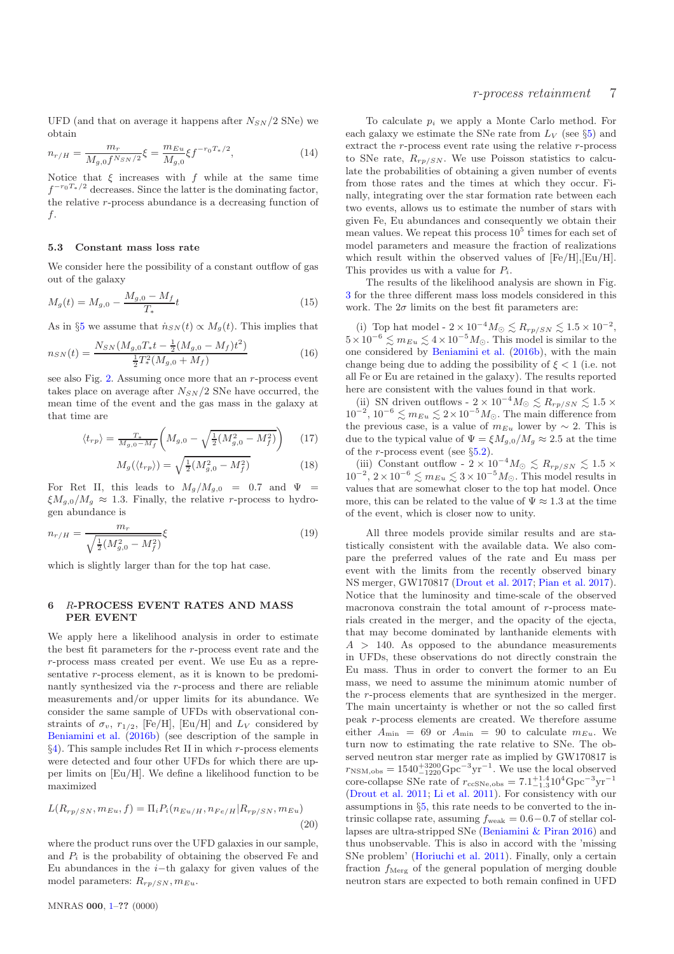UFD (and that on average it happens after  $N_{SN}/2$  SNe) we obtain

$$
n_{r/H} = \frac{m_r}{M_{g,0} f^{N_{SN}/2}} \xi = \frac{m_{Eu}}{M_{g,0}} \xi f^{-r_0 T_*/2},\tag{14}
$$

Notice that  $\xi$  increases with  $f$  while at the same time  $f^{-r_0T_*/2}$  decreases. Since the latter is the dominating factor, the relative r-process abundance is a decreasing function of f.

#### <span id="page-6-1"></span>5.3 Constant mass loss rate

We consider here the possibility of a constant outflow of gas out of the galaxy

$$
M_g(t) = M_{g,0} - \frac{M_{g,0} - M_f}{T_*}t
$$
\n(15)

As in §[5](#page-3-0) we assume that  $\dot{n}_{SN}(t) \propto M_g(t)$ . This implies that

$$
n_{SN}(t) = \frac{N_{SN}(M_{g,0}T_*t - \frac{1}{2}(M_{g,0} - M_f)t^2)}{\frac{1}{2}T_*^2(M_{g,0} + M_f)}
$$
(16)

see also Fig. [2.](#page-5-0) Assuming once more that an r-process event takes place on average after  $N_{SN}/2$  SNe have occurred, the mean time of the event and the gas mass in the galaxy at that time are

$$
\langle t_{rp} \rangle = \frac{T_*}{M_{g,0} - M_f} \left( M_{g,0} - \sqrt{\frac{1}{2} (M_{g,0}^2 - M_f^2)} \right) \tag{17}
$$

$$
M_g(\langle t_{rp} \rangle) = \sqrt{\frac{1}{2}(M_{g,0}^2 - M_f^2)}
$$
 (18)

For Ret II, this leads to  $M_g/M_{g,0}$  = 0.7 and  $\Psi$  =  $\xi M_{g,0}/M_g \approx 1.3$ . Finally, the relative r-process to hydrogen abundance is

$$
n_{r/H} = \frac{m_r}{\sqrt{\frac{1}{2}(M_{g,0}^2 - M_f^2)}}\xi\tag{19}
$$

which is slightly larger than for the top hat case.

#### <span id="page-6-0"></span>6 R-PROCESS EVENT RATES AND MASS PER EVENT

We apply here a likelihood analysis in order to estimate the best fit parameters for the r-process event rate and the r-process mass created per event. We use Eu as a representative r-process element, as it is known to be predominantly synthesized via the r-process and there are reliable measurements and/or upper limits for its abundance. We consider the same sample of UFDs with observational constraints of  $\sigma_v$ ,  $r_{1/2}$ , [Fe/H], [Eu/H] and  $L_V$  considered by [Beniamini et al.](#page-9-0) [\(2016b\)](#page-9-0) (see description of the sample in §[4\)](#page-2-0). This sample includes Ret II in which r-process elements were detected and four other UFDs for which there are upper limits on [Eu/H]. We define a likelihood function to be maximized

$$
L(R_{rp/SN}, m_{Eu}, f) = \Pi_i P_i(n_{Eu/H}, n_{Fe/H} | R_{rp/SN}, m_{Eu})
$$
\n(20)

where the product runs over the UFD galaxies in our sample, and  $P_i$  is the probability of obtaining the observed Fe and Eu abundances in the  $i$ −th galaxy for given values of the model parameters:  $R_{rp/SN}, m_{Eu}$ .

# r-process retainment 7

To calculate  $p_i$  we apply a Monte Carlo method. For each galaxy we estimate the SNe rate from  $L_V$  (see §[5\)](#page-3-0) and extract the  $r$ -process event rate using the relative  $r$ -process to SNe rate,  $R_{rn/SN}$ . We use Poisson statistics to calculate the probabilities of obtaining a given number of events from those rates and the times at which they occur. Finally, integrating over the star formation rate between each two events, allows us to estimate the number of stars with given Fe, Eu abundances and consequently we obtain their mean values. We repeat this process  $10<sup>5</sup>$  times for each set of model parameters and measure the fraction of realizations which result within the observed values of [Fe/H],[Eu/H]. This provides us with a value for  $P_i$ .

The results of the likelihood analysis are shown in Fig. [3](#page-8-0) for the three different mass loss models considered in this work. The  $2\sigma$  limits on the best fit parameters are:

(i) Top hat model -  $2 \times 10^{-4} M_{\odot} \lesssim R_{rp/SN} \lesssim 1.5 \times 10^{-2}$ ,  $5 \times 10^{-6} \lesssim m_{Eu} \lesssim 4 \times 10^{-5} M_{\odot}$ . This model is similar to the one considered by [Beniamini et al.](#page-9-0) [\(2016b\)](#page-9-0), with the main change being due to adding the possibility of  $\xi < 1$  (i.e. not all Fe or Eu are retained in the galaxy). The results reported here are consistent with the values found in that work.

(ii) SN driven outflows -  $2 \times 10^{-4} M_{\odot} \lesssim R_{rp/SN} \lesssim 1.5 \times$  $10^{-2}$ ,  $10^{-6} \lesssim m_{Eu} \lesssim 2 \times 10^{-5} M_{\odot}$ . The main difference from the previous case, is a value of  $m_{Eu}$  lower by  $\sim$  2. This is due to the typical value of  $\Psi = \xi M_{g,0}/M_g \approx 2.5$  at the time of the *r*-process event (see  $\S5.2$ ).

(iii) Constant outflow -  $2 \times 10^{-4} M_{\odot} \leq R_{rp/SN} \leq 1.5 \times$  $10^{-2}$ ,  $2 \times 10^{-6} \lesssim m_{Eu} \lesssim 3 \times 10^{-5} M_{\odot}$ . This model results in values that are somewhat closer to the top hat model. Once more, this can be related to the value of  $\Psi\approx 1.3$  at the time of the event, which is closer now to unity.

All three models provide similar results and are statistically consistent with the available data. We also compare the preferred values of the rate and Eu mass per event with the limits from the recently observed binary NS merger, GW170817 [\(Drout et al. 2017](#page-9-5); [Pian et al. 2017](#page-10-1)). Notice that the luminosity and time-scale of the observed macronova constrain the total amount of r-process materials created in the merger, and the opacity of the ejecta, that may become dominated by lanthanide elements with  $A > 140$ . As opposed to the abundance measurements in UFDs, these observations do not directly constrain the Eu mass. Thus in order to convert the former to an Eu mass, we need to assume the minimum atomic number of the r-process elements that are synthesized in the merger. The main uncertainty is whether or not the so called first peak r-process elements are created. We therefore assume either  $A_{\min} = 69$  or  $A_{\min} = 90$  to calculate  $m_{Eu}$ . We turn now to estimating the rate relative to SNe. The observed neutron star merger rate as implied by GW170817 is  $r_{\text{NSM,obs}} = 1540^{+3200}_{-1220} \text{Gpc}^{-3} \text{yr}^{-1}$ . We use the local observed core-collapse SNe rate of  $r_{\text{ccSNe,obs}} = 7.1_{-1.3}^{+1.4} 10^4 \text{Gpc}^{-3} \text{yr}^{-1}$ [\(Drout et al. 2011](#page-9-30); [Li et al. 2011](#page-9-32)). For consistency with our assumptions in §[5,](#page-3-0) this rate needs to be converted to the intrinsic collapse rate, assuming  $f_{\text{weak}} = 0.6 - 0.7$  of stellar collapses are ultra-stripped SNe [\(Beniamini & Piran 2016](#page-9-13)) and thus unobservable. This is also in accord with the 'missing SNe problem' [\(Horiuchi et al. 2011\)](#page-9-33). Finally, only a certain fraction  $f_{\text{Merg}}$  of the general population of merging double neutron stars are expected to both remain confined in UFD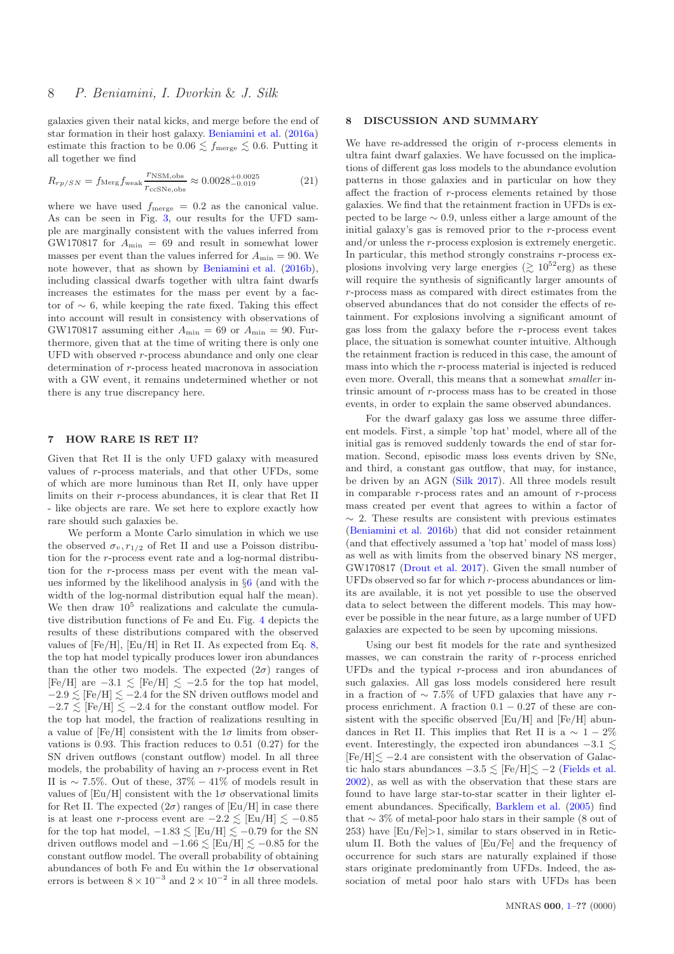galaxies given their natal kicks, and merge before the end of star formation in their host galaxy. [Beniamini et al.](#page-9-12) [\(2016a](#page-9-12)) estimate this fraction to be  $0.06 \lesssim f_{\text{merge}} \lesssim 0.6$ . Putting it all together we find

$$
R_{rp/SN} = f_{\text{Merg}} f_{\text{weak}} \frac{r_{\text{NSM,obs}}}{r_{\text{ccSNe,obs}}} \approx 0.0028^{+0.0025}_{-0.019} \tag{21}
$$

where we have used  $f_{\text{merge}} = 0.2$  as the canonical value. As can be seen in Fig. [3,](#page-8-0) our results for the UFD sample are marginally consistent with the values inferred from GW170817 for  $A_{\text{min}} = 69$  and result in somewhat lower masses per event than the values inferred for  $A_{\text{min}} = 90$ . We note however, that as shown by [Beniamini et al.](#page-9-0) [\(2016b](#page-9-0)), including classical dwarfs together with ultra faint dwarfs increases the estimates for the mass per event by a factor of ∼ 6, while keeping the rate fixed. Taking this effect into account will result in consistency with observations of GW170817 assuming either  $A_{\text{min}} = 69$  or  $A_{\text{min}} = 90$ . Furthermore, given that at the time of writing there is only one UFD with observed *r*-process abundance and only one clear determination of r-process heated macronova in association with a GW event, it remains undetermined whether or not there is any true discrepancy here.

## <span id="page-7-0"></span>7 HOW RARE IS RET II?

Given that Ret II is the only UFD galaxy with measured values of r-process materials, and that other UFDs, some of which are more luminous than Ret II, only have upper limits on their r-process abundances, it is clear that Ret II - like objects are rare. We set here to explore exactly how rare should such galaxies be.

We perform a Monte Carlo simulation in which we use the observed  $\sigma_v, r_{1/2}$  of Ret II and use a Poisson distribution for the r-process event rate and a log-normal distribution for the r-process mass per event with the mean values informed by the likelihood analysis in §[6](#page-6-0) (and with the width of the log-normal distribution equal half the mean). We then draw  $10^5$  realizations and calculate the cumulative distribution functions of Fe and Eu. Fig. [4](#page-9-34) depicts the results of these distributions compared with the observed values of [Fe/H], [Eu/H] in Ret II. As expected from Eq. [8,](#page-5-1) the top hat model typically produces lower iron abundances than the other two models. The expected  $(2\sigma)$  ranges of [Fe/H] are  $-3.1 \leq$  [Fe/H]  $\leq -2.5$  for the top hat model,  $-2.9 \lesssim$  [Fe/H]  $\lesssim -2.4$  for the SN driven outflows model and  $-2.7 \lesssim$  [Fe/H]  $\lesssim -2.4$  for the constant outflow model. For the top hat model, the fraction of realizations resulting in a value of  $[Fe/H]$  consistent with the  $1\sigma$  limits from observations is 0.93. This fraction reduces to 0.51 (0.27) for the SN driven outflows (constant outflow) model. In all three models, the probability of having an r-process event in Ret II is  $\sim 7.5\%$ . Out of these,  $37\% - 41\%$  of models result in values of  $[Eu/H]$  consistent with the  $1\sigma$  observational limits for Ret II. The expected  $(2\sigma)$  ranges of [Eu/H] in case there is at least one r-process event are  $-2.2 \lesssim$  [Eu/H]  $\lesssim -0.85$ for the top hat model,  $-1.83 \lesssim$  [Eu/H]  $\lesssim -0.79$  for the SN driven outflows model and  $-1.66 \leq$  [Eu/H]  $\leq -0.85$  for the constant outflow model. The overall probability of obtaining abundances of both Fe and Eu within the  $1\sigma$  observational errors is between  $8 \times 10^{-3}$  and  $2 \times 10^{-2}$  in all three models.

# <span id="page-7-1"></span>8 DISCUSSION AND SUMMARY

We have re-addressed the origin of r-process elements in ultra faint dwarf galaxies. We have focussed on the implications of different gas loss models to the abundance evolution patterns in those galaxies and in particular on how they affect the fraction of r-process elements retained by those galaxies. We find that the retainment fraction in UFDs is expected to be large ∼ 0.9, unless either a large amount of the initial galaxy's gas is removed prior to the r-process event and/or unless the r-process explosion is extremely energetic. In particular, this method strongly constrains  $r$ -process explosions involving very large energies ( $\geq 10^{52}$ erg) as these will require the synthesis of significantly larger amounts of r-process mass as compared with direct estimates from the observed abundances that do not consider the effects of retainment. For explosions involving a significant amount of gas loss from the galaxy before the r-process event takes place, the situation is somewhat counter intuitive. Although the retainment fraction is reduced in this case, the amount of mass into which the r-process material is injected is reduced even more. Overall, this means that a somewhat smaller intrinsic amount of r-process mass has to be created in those events, in order to explain the same observed abundances.

For the dwarf galaxy gas loss we assume three different models. First, a simple 'top hat' model, where all of the initial gas is removed suddenly towards the end of star formation. Second, episodic mass loss events driven by SNe, and third, a constant gas outflow, that may, for instance, be driven by an AGN [\(Silk 2017\)](#page-10-25). All three models result in comparable  $r$ -process rates and an amount of  $r$ -process mass created per event that agrees to within a factor of  $\sim$  2. These results are consistent with previous estimates [\(Beniamini et al. 2016b\)](#page-9-0) that did not consider retainment (and that effectively assumed a 'top hat' model of mass loss) as well as with limits from the observed binary NS merger, GW170817 [\(Drout et al. 2017\)](#page-9-5). Given the small number of UFDs observed so far for which r-process abundances or limits are available, it is not yet possible to use the observed data to select between the different models. This may however be possible in the near future, as a large number of UFD galaxies are expected to be seen by upcoming missions.

Using our best fit models for the rate and synthesized masses, we can constrain the rarity of r-process enriched UFDs and the typical r-process and iron abundances of such galaxies. All gas loss models considered here result in a fraction of ∼ 7.5% of UFD galaxies that have any rprocess enrichment. A fraction  $0.1 - 0.27$  of these are consistent with the specific observed [Eu/H] and [Fe/H] abundances in Ret II. This implies that Ret II is a  $\sim 1-2\%$ event. Interestingly, the expected iron abundances  $-3.1 \leq$  $[Fe/H] \leq -2.4$  are consistent with the observation of Galactic halo stars abundances  $-3.5 \leq$  [Fe/H] $\leq -2$  [\(Fields et al.](#page-9-35) [2002](#page-9-35)), as well as with the observation that these stars are found to have large star-to-star scatter in their lighter element abundances. Specifically, [Barklem et al.](#page-9-36) [\(2005](#page-9-36)) find that ∼ 3% of metal-poor halo stars in their sample (8 out of 253) have  $[Eu/Fe] > 1$ , similar to stars observed in in Reticulum II. Both the values of [Eu/Fe] and the frequency of occurrence for such stars are naturally explained if those stars originate predominantly from UFDs. Indeed, the association of metal poor halo stars with UFDs has been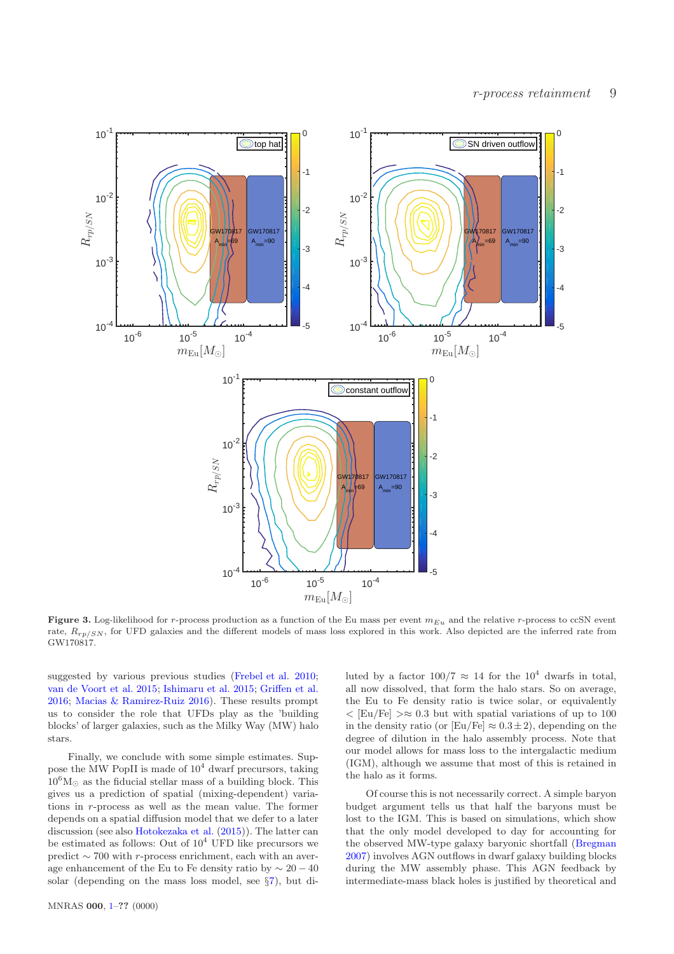

<span id="page-8-0"></span>**Figure 3.** Log-likelihood for r-process production as a function of the Eu mass per event  $m_{Eu}$  and the relative r-process to ccSN event rate,  $R_{rp/SN}$ , for UFD galaxies and the different models of mass loss explored in this work. Also depicted are the inferred rate from GW170817.

suggested by various previous studies [\(Frebel et al. 2010;](#page-9-15) [van de Voort et al. 2015;](#page-10-26) [Ishimaru et al. 2015](#page-9-37); [Griffen et al.](#page-9-14) [2016](#page-9-14); [Macias & Ramirez-Ruiz 2016\)](#page-10-21). These results prompt us to consider the role that UFDs play as the 'building blocks' of larger galaxies, such as the Milky Way (MW) halo stars.

Finally, we conclude with some simple estimates. Suppose the MW PopII is made of  $10^4$  dwarf precursors, taking  $10^6M_{\odot}$  as the fiducial stellar mass of a building block. This gives us a prediction of spatial (mixing-dependent) variations in r-process as well as the mean value. The former depends on a spatial diffusion model that we defer to a later discussion (see also [Hotokezaka et al.](#page-9-38) [\(2015](#page-9-38))). The latter can be estimated as follows: Out of  $10^4$  UFD like precursors we predict ∼ 700 with r-process enrichment, each with an average enhancement of the Eu to Fe density ratio by  $\sim 20-40$ solar (depending on the mass loss model, see §[7\)](#page-7-0), but di-

luted by a factor  $100/7 \approx 14$  for the  $10^4$  dwarfs in total, all now dissolved, that form the halo stars. So on average, the Eu to Fe density ratio is twice solar, or equivalently  $\langle$  [Eu/Fe]  $\geq \approx 0.3$  but with spatial variations of up to 100 in the density ratio (or  $\text{[Eu/Fe]} \approx 0.3 \pm 2$ ), depending on the degree of dilution in the halo assembly process. Note that our model allows for mass loss to the intergalactic medium (IGM), although we assume that most of this is retained in the halo as it forms.

Of course this is not necessarily correct. A simple baryon budget argument tells us that half the baryons must be lost to the IGM. This is based on simulations, which show that the only model developed to day for accounting for the observed MW-type galaxy baryonic shortfall [\(Bregman](#page-9-39) [2007](#page-9-39)) involves AGN outflows in dwarf galaxy building blocks during the MW assembly phase. This AGN feedback by intermediate-mass black holes is justified by theoretical and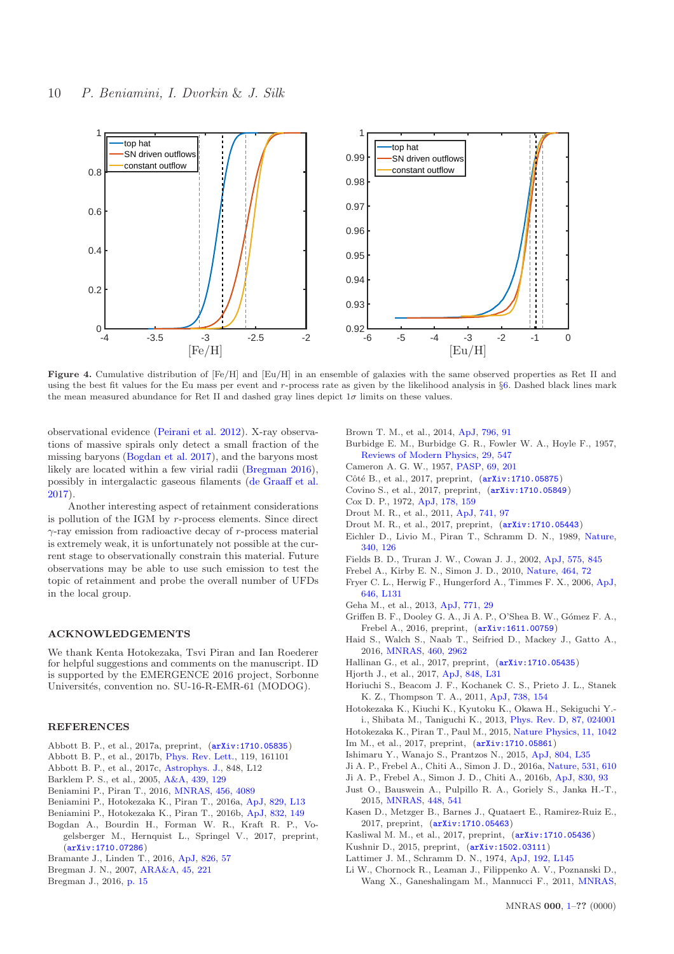

<span id="page-9-34"></span>Figure 4. Cumulative distribution of [Fe/H] and [Eu/H] in an ensemble of galaxies with the same observed properties as Ret II and using the best fit values for the Eu mass per event and r-process rate as given by the likelihood analysis in §[6.](#page-6-0) Dashed black lines mark the mean measured abundance for Ret II and dashed gray lines depict  $1\sigma$  limits on these values.

observational evidence [\(Peirani et al. 2012\)](#page-10-27). X-ray observations of massive spirals only detect a small fraction of the missing baryons [\(Bogdan et al. 2017](#page-9-40)), and the baryons most likely are located within a few virial radii [\(Bregman 2016](#page-9-41)), possibly in intergalactic gaseous filaments [\(de Graaff et al.](#page-10-28) [2017](#page-10-28)).

Another interesting aspect of retainment considerations is pollution of the IGM by r-process elements. Since direct  $\gamma$ -ray emission from radioactive decay of r-process material is extremely weak, it is unfortunately not possible at the current stage to observationally constrain this material. Future observations may be able to use such emission to test the topic of retainment and probe the overall number of UFDs in the local group.

## ACKNOWLEDGEMENTS

We thank Kenta Hotokezaka, Tsvi Piran and Ian Roederer for helpful suggestions and comments on the manuscript. ID is supported by the EMERGENCE 2016 project, Sorbonne Universités, convention no. SU-16-R-EMR-61 (MODOG).

#### REFERENCES

- <span id="page-9-27"></span>Abbott B. P., et al., 2017a, preprint, ([arXiv:1710.05835](http://arxiv.org/abs/1710.05835))
- <span id="page-9-3"></span>Abbott B. P., et al., 2017b, [Phys. Rev. Lett.,](http://dx.doi.org/10.1103/PhysRevLett.119.161101) 119, 161101
- <span id="page-9-4"></span>Abbott B. P., et al., 2017c, [Astrophys. J.,](http://dx.doi.org/10.3847/2041-8213/aa91c9) 848, L12
- <span id="page-9-36"></span>Barklem P. S., et al., 2005, [A&A,](http://dx.doi.org/10.1051/0004-6361:20052967) [439, 129](http://adsabs.harvard.edu/abs/2005A%26A...439..129B)
- <span id="page-9-13"></span>Beniamini P., Piran T., 2016, [MNRAS,](http://dx.doi.org/10.1093/mnras/stv2903) [456, 4089](http://adsabs.harvard.edu/abs/2016MNRAS.456.4089B)
- <span id="page-9-12"></span>Beniamini P., Hotokezaka K., Piran T., 2016a, [ApJ,](http://dx.doi.org/10.3847/2041-8205/829/1/L13) [829, L13](http://adsabs.harvard.edu/abs/2016ApJ...829L..13B)
- <span id="page-9-0"></span>Beniamini P., Hotokezaka K., Piran T., 2016b, [ApJ,](http://dx.doi.org/10.3847/0004-637X/832/2/149) [832, 149](http://adsabs.harvard.edu/abs/2016ApJ...832..149B)
- <span id="page-9-40"></span>Bogdan A., Bourdin H., Forman W. R., Kraft R. P., Vogelsberger M., Hernquist L., Springel V., 2017, preprint, ([arXiv:1710.07286](http://arxiv.org/abs/1710.07286))
- <span id="page-9-11"></span>Bramante J., Linden T., 2016, [ApJ,](http://dx.doi.org/10.3847/0004-637X/826/1/57) [826, 57](http://adsabs.harvard.edu/abs/2016ApJ...826...57B)
- <span id="page-9-39"></span>Bregman J. N., 2007, [ARA&A,](http://dx.doi.org/10.1146/annurev.astro.45.051806.110619) [45, 221](http://adsabs.harvard.edu/abs/2007ARA%26A..45..221B)
- <span id="page-9-41"></span>Bregman J., 2016, [p. 15](http://adsabs.harvard.edu/abs/2016xnnd.confE..15B)
- <span id="page-9-10"></span>Brown T. M., et al., 2014, [ApJ,](http://dx.doi.org/10.1088/0004-637X/796/2/91) [796, 91](http://adsabs.harvard.edu/abs/2014ApJ...796...91B)
- <span id="page-9-1"></span>Burbidge E. M., Burbidge G. R., Fowler W. A., Hoyle F., 1957, [Reviews of Modern Physics,](http://dx.doi.org/10.1103/RevModPhys.29.547) [29, 547](http://adsabs.harvard.edu/abs/1957RvMP...29..547B)
- <span id="page-9-2"></span>Cameron A. G. W., 1957, [PASP,](http://dx.doi.org/10.1086/127051) [69, 201](http://adsabs.harvard.edu/abs/1957PASP...69..201C)
- <span id="page-9-22"></span>Côté B., et al., 2017, preprint, ([arXiv:1710.05875](http://arxiv.org/abs/1710.05875))
- <span id="page-9-20"></span>Covino S., et al., 2017, preprint, ([arXiv:1710.05849](http://arxiv.org/abs/1710.05849))
- <span id="page-9-24"></span>Cox D. P., 1972, [ApJ,](http://dx.doi.org/10.1086/151775) [178, 159](http://adsabs.harvard.edu/abs/1972ApJ...178..159C)
- <span id="page-9-30"></span>Drout M. R., et al., 2011, [ApJ,](http://dx.doi.org/10.1088/0004-637X/741/2/97) [741, 97](http://adsabs.harvard.edu/abs/2011ApJ...741...97D)
- <span id="page-9-5"></span>Drout M. R., et al., 2017, preprint, ([arXiv:1710.05443](http://arxiv.org/abs/1710.05443))
- <span id="page-9-7"></span>Eichler D., Livio M., Piran T., Schramm D. N., 1989, [Nature,](http://dx.doi.org/10.1038/340126a0) [340, 126](http://adsabs.harvard.edu/abs/1989Natur.340..126E)
- <span id="page-9-35"></span>Fields B. D., Truran J. W., Cowan J. J., 2002, [ApJ,](http://dx.doi.org/10.1086/341331) [575, 845](http://adsabs.harvard.edu/abs/2002ApJ...575..845F)
- <span id="page-9-15"></span>Frebel A., Kirby E. N., Simon J. D., 2010, [Nature,](http://dx.doi.org/10.1038/nature08772) [464, 72](http://adsabs.harvard.edu/abs/2010Natur.464...72F)
- <span id="page-9-16"></span>Fryer C. L., Herwig F., Hungerford A., Timmes F. X., 2006, [ApJ,](http://dx.doi.org/10.1086/507071) [646, L131](http://adsabs.harvard.edu/abs/2006ApJ...646L.131F)
- <span id="page-9-29"></span>Geha M., et al., 2013, [ApJ,](http://dx.doi.org/10.1088/0004-637X/771/1/29) [771, 29](http://adsabs.harvard.edu/abs/2013ApJ...771...29G)
- <span id="page-9-14"></span>Griffen B. F., Dooley G. A., Ji A. P., O'Shea B. W., Gómez F. A., Frebel A., 2016, preprint, ([arXiv:1611.00759](http://arxiv.org/abs/1611.00759))
- <span id="page-9-23"></span>Haid S., Walch S., Naab T., Seifried D., Mackey J., Gatto A., 2016, [MNRAS,](http://dx.doi.org/10.1093/mnras/stw1082) [460, 2962](http://adsabs.harvard.edu/abs/2016MNRAS.460.2962H)
- <span id="page-9-25"></span>Hallinan G., et al., 2017, preprint, ([arXiv:1710.05435](http://arxiv.org/abs/1710.05435))
- <span id="page-9-28"></span>Hjorth J., et al., 2017, [ApJ,](http://dx.doi.org/10.3847/2041-8213/aa9110) [848, L31](http://adsabs.harvard.edu/abs/2017ApJ...848L..31H)
- <span id="page-9-33"></span>Horiuchi S., Beacom J. F., Kochanek C. S., Prieto J. L., Stanek K. Z., Thompson T. A., 2011, [ApJ,](http://dx.doi.org/10.1088/0004-637X/738/2/154) [738, 154](http://adsabs.harvard.edu/abs/2011ApJ...738..154H)
- <span id="page-9-17"></span>Hotokezaka K., Kiuchi K., Kyutoku K., Okawa H., Sekiguchi Y. i., Shibata M., Taniguchi K., 2013, [Phys. Rev. D,](http://dx.doi.org/10.1103/PhysRevD.87.024001) [87, 024001](http://adsabs.harvard.edu/abs/2013PhRvD..87b4001H)
- <span id="page-9-38"></span>Hotokezaka K., Piran T., Paul M., 2015, [Nature Physics,](http://dx.doi.org/10.1038/nphys3574) [11, 1042](http://adsabs.harvard.edu/abs/2015NatPh..11.1042H) Im M., et al., 2017, preprint, ([arXiv:1710.05861](http://arxiv.org/abs/1710.05861))
- <span id="page-9-37"></span><span id="page-9-26"></span>Ishimaru Y., Wanajo S., Prantzos N., 2015, [ApJ,](http://dx.doi.org/10.1088/2041-8205/804/2/L35) [804, L35](http://adsabs.harvard.edu/abs/2015ApJ...804L..35I)
- <span id="page-9-8"></span>Ji A. P., Frebel A., Chiti A., Simon J. D., 2016a, [Nature,](http://dx.doi.org/10.1038/nature17425) [531, 610](http://adsabs.harvard.edu/abs/2016Natur.531..610J)
- <span id="page-9-9"></span>Ji A. P., Frebel A., Simon J. D., Chiti A., 2016b, [ApJ,](http://dx.doi.org/10.3847/0004-637X/830/2/93) [830, 93](http://adsabs.harvard.edu/abs/2016ApJ...830...93J)
- <span id="page-9-19"></span>Just O., Bauswein A., Pulpillo R. A., Goriely S., Janka H.-T., 2015, [MNRAS,](http://dx.doi.org/10.1093/mnras/stv009) [448, 541](http://adsabs.harvard.edu/abs/2015MNRAS.448..541J)
- <span id="page-9-18"></span>Kasen D., Metzger B., Barnes J., Quataert E., Ramirez-Ruiz E., 2017, preprint, ([arXiv:1710.05463](http://arxiv.org/abs/1710.05463))
- <span id="page-9-21"></span>Kasliwal M. M., et al., 2017, preprint, ([arXiv:1710.05436](http://arxiv.org/abs/1710.05436))
- <span id="page-9-31"></span>Kushnir D., 2015, preprint, ([arXiv:1502.03111](http://arxiv.org/abs/1502.03111))
- <span id="page-9-6"></span>Lattimer J. M., Schramm D. N., 1974, [ApJ,](http://dx.doi.org/10.1086/181612) [192, L145](http://adsabs.harvard.edu/abs/1974ApJ...192L.145L)
- <span id="page-9-32"></span>Li W., Chornock R., Leaman J., Filippenko A. V., Poznanski D., Wang X., Ganeshalingam M., Mannucci F., 2011, [MNRAS,](http://dx.doi.org/10.1111/j.1365-2966.2011.18162.x)